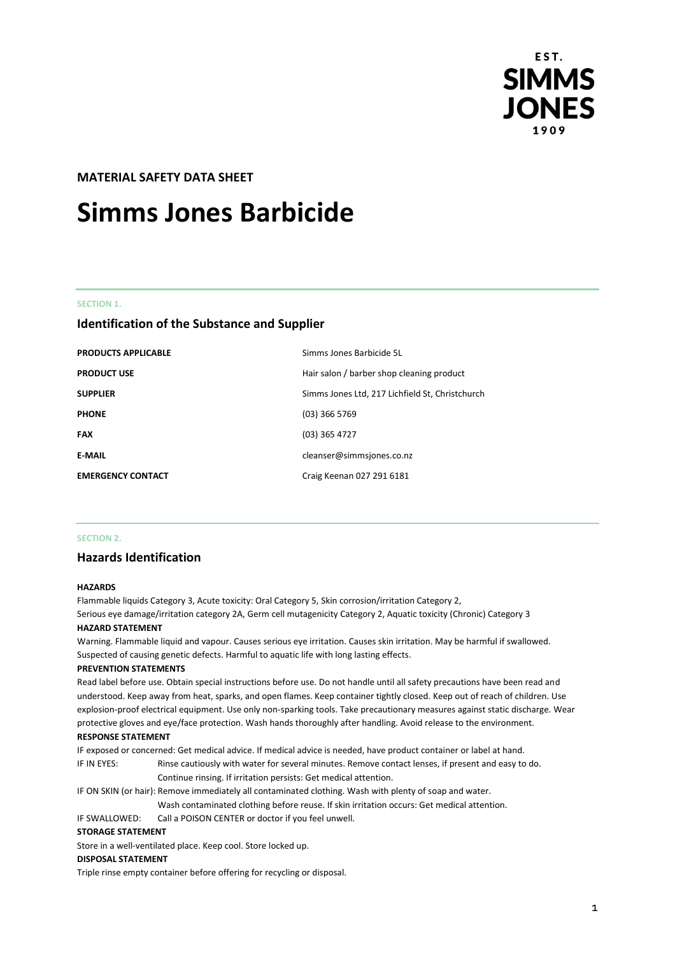

#### **MATERIAL SAFETY DATA SHEET**

## **Simms Jones Barbicide**

#### **SECTION 1.**

#### **Identification of the Substance and Supplier**

| <b>PRODUCTS APPLICABLE</b> | Simms Jones Barbicide 5L                        |
|----------------------------|-------------------------------------------------|
| <b>PRODUCT USE</b>         | Hair salon / barber shop cleaning product       |
| <b>SUPPLIER</b>            | Simms Jones Ltd, 217 Lichfield St, Christchurch |
| <b>PHONE</b>               | $(03)$ 366 5769                                 |
| <b>FAX</b>                 | $(03)$ 365 4727                                 |
| <b>E-MAIL</b>              | cleanser@simmsjones.co.nz                       |
| <b>EMERGENCY CONTACT</b>   | Craig Keenan 027 291 6181                       |

#### **SECTION 2.**

#### **Hazards Identification**

#### **HAZARDS**

Flammable liquids Category 3, Acute toxicity: Oral Category 5, Skin corrosion/irritation Category 2, Serious eye damage/irritation category 2A, Germ cell mutagenicity Category 2, Aquatic toxicity (Chronic) Category 3 **HAZARD STATEMENT**

Warning. Flammable liquid and vapour. Causes serious eye irritation. Causes skin irritation. May be harmful if swallowed. Suspected of causing genetic defects. Harmful to aquatic life with long lasting effects.

#### **PREVENTION STATEMENTS**

Read label before use. Obtain special instructions before use. Do not handle until all safety precautions have been read and understood. Keep away from heat, sparks, and open flames. Keep container tightly closed. Keep out of reach of children. Use explosion-proof electrical equipment. Use only non-sparking tools. Take precautionary measures against static discharge. Wear protective gloves and eye/face protection. Wash hands thoroughly after handling. Avoid release to the environment. **RESPONSE STATEMENT**

IF exposed or concerned: Get medical advice. If medical advice is needed, have product container or label at hand.

IF IN EYES: Rinse cautiously with water for several minutes. Remove contact lenses, if present and easy to do. Continue rinsing. If irritation persists: Get medical attention.

IF ON SKIN (or hair): Remove immediately all contaminated clothing. Wash with plenty of soap and water.

Wash contaminated clothing before reuse. If skin irritation occurs: Get medical attention.

IF SWALLOWED: Call a POISON CENTER or doctor if you feel unwell.

#### **STORAGE STATEMENT**

Store in a well-ventilated place. Keep cool. Store locked up.

#### **DISPOSAL STATEMENT**

Triple rinse empty container before offering for recycling or disposal.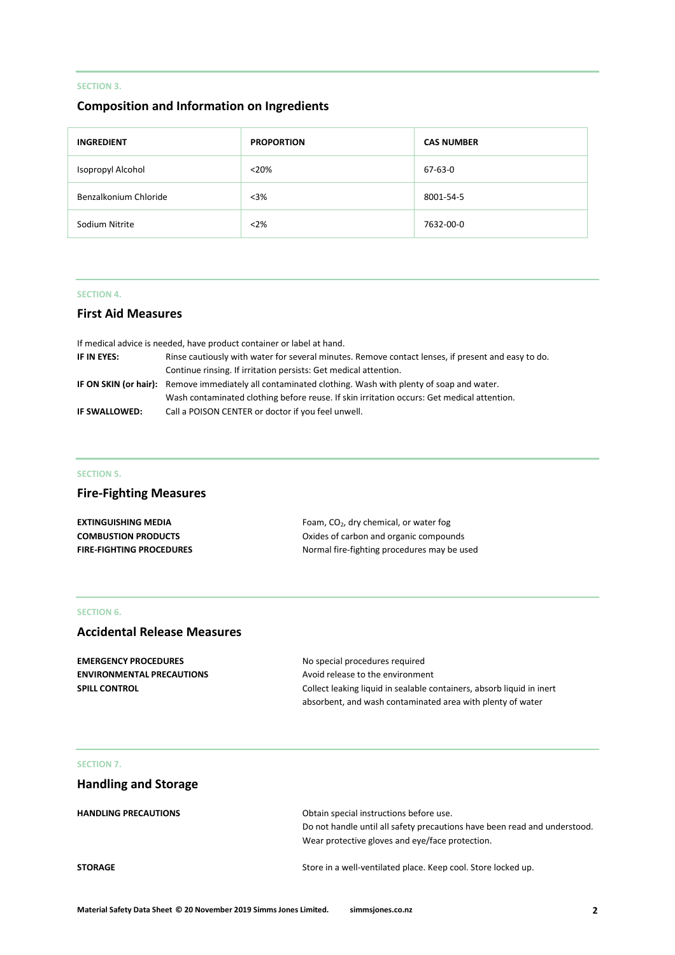#### **SECTION 3.**

#### **Composition and Information on Ingredients**

| <b>INGREDIENT</b>     | <b>PROPORTION</b> | <b>CAS NUMBER</b> |
|-----------------------|-------------------|-------------------|
| Isopropyl Alcohol     | $<$ 20%           | 67-63-0           |
| Benzalkonium Chloride | $<$ 3%            | 8001-54-5         |
| Sodium Nitrite        | $<$ 2%            | 7632-00-0         |

#### **SECTION 4.**

#### **First Aid Measures**

| If medical advice is needed, have product container or label at hand. |                                                                                                         |
|-----------------------------------------------------------------------|---------------------------------------------------------------------------------------------------------|
| IF IN EYES:                                                           | Rinse cautiously with water for several minutes. Remove contact lenses, if present and easy to do.      |
|                                                                       | Continue rinsing. If irritation persists: Get medical attention.                                        |
|                                                                       | IF ON SKIN (or hair): Remove immediately all contaminated clothing. Wash with plenty of soap and water. |
|                                                                       | Wash contaminated clothing before reuse. If skin irritation occurs: Get medical attention.              |
| IF SWALLOWED:                                                         | Call a POISON CENTER or doctor if you feel unwell.                                                      |

#### **SECTION 5.**

#### **Fire-Fighting Measures**

| <b>EXTINGUISHING MEDIA</b>      | Foam, $CO2$ , dry chemical, or water fog    |
|---------------------------------|---------------------------------------------|
| <b>COMBUSTION PRODUCTS</b>      | Oxides of carbon and organic compounds      |
| <b>FIRE-FIGHTING PROCEDURES</b> | Normal fire-fighting procedures may be used |

#### **SECTION 6.**

#### **Accidental Release Measures**

| <b>EMERGENCY PROCEDURES</b>      | No special procedures required                                        |
|----------------------------------|-----------------------------------------------------------------------|
| <b>ENVIRONMENTAL PRECAUTIONS</b> | Avoid release to the environment                                      |
| <b>SPILL CONTROL</b>             | Collect leaking liquid in sealable containers, absorb liquid in inert |
|                                  | absorbent, and wash contaminated area with plenty of water            |

#### **SECTION 7.**

### **Handling and Storage**

| <b>HANDLING PRECAUTIONS</b> | Obtain special instructions before use.                                   |  |
|-----------------------------|---------------------------------------------------------------------------|--|
|                             | Do not handle until all safety precautions have been read and understood. |  |
|                             | Wear protective gloves and eye/face protection.                           |  |
| <b>STORAGE</b>              | Store in a well-ventilated place. Keep cool. Store locked up.             |  |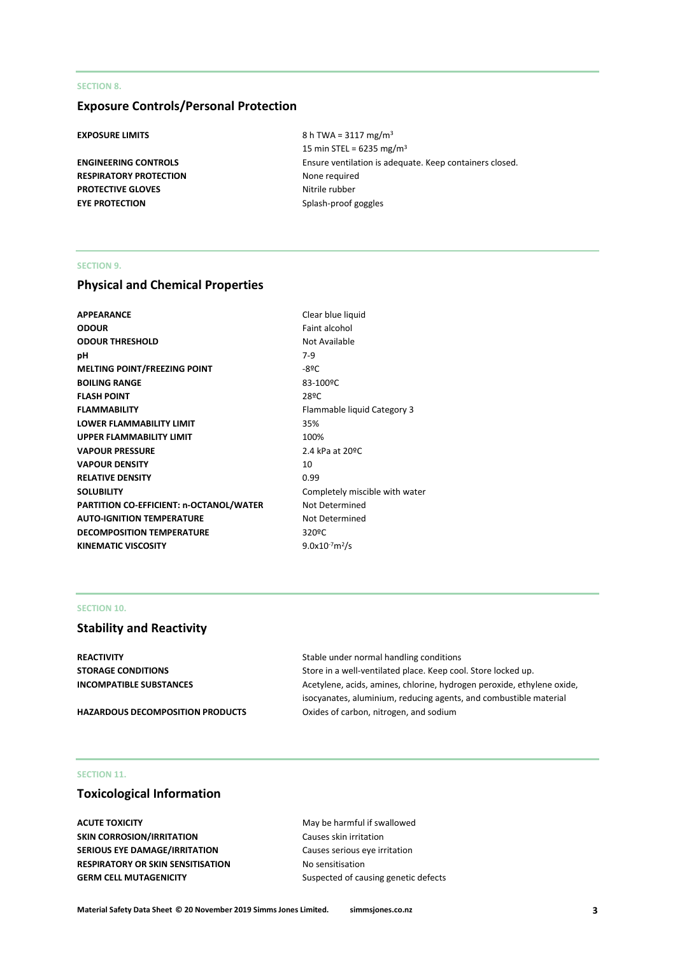#### **SECTION 8.**

#### **Exposure Controls/Personal Protection**

**RESPIRATORY PROTECTION** None required **PROTECTIVE GLOVES** Nitrile rubber **EYE PROTECTION** Splash-proof goggles

**EXPOSURE LIMITS** 8 h TWA = 3117 mg/m<sup>3</sup> 15 min STEL =  $6235$  mg/m<sup>3</sup> **ENGINEERING CONTROLS** Ensure ventilation is adequate. Keep containers closed.

#### **SECTION 9.**

#### **Physical and Chemical Properties**

| <b>APPEARANCE</b>                              | Clear blue liquid  |
|------------------------------------------------|--------------------|
| <b>ODOUR</b>                                   | Faint alcohol      |
| <b>ODOUR THRESHOLD</b>                         | Not Available      |
| рH                                             | $7-9$              |
| <b>MELTING POINT/FREEZING POINT</b>            | $-89C$             |
| <b>BOILING RANGE</b>                           | 83-100°C           |
| <b>FLASH POINT</b>                             | 28ºC               |
| <b>FLAMMABILITY</b>                            | Flammable liquid   |
| <b>LOWER FLAMMABILITY LIMIT</b>                | 35%                |
| <b>UPPER FLAMMABILITY LIMIT</b>                | 100%               |
| <b>VAPOUR PRESSURE</b>                         | 2.4 kPa at 20°C    |
| <b>VAPOUR DENSITY</b>                          | 10                 |
| <b>RELATIVE DENSITY</b>                        | 0.99               |
| <b>SOLUBILITY</b>                              | Completely misc    |
| <b>PARTITION CO-EFFICIENT: n-OCTANOL/WATER</b> | Not Determined     |
| <b>AUTO-IGNITION TEMPERATURE</b>               | Not Determined     |
| <b>DECOMPOSITION TEMPERATURE</b>               | 320°C              |
| <b>KINEMATIC VISCOSITY</b>                     | $9.0x10^{-7}m^2/s$ |
|                                                |                    |

# **Fame India** Category 3 **Iy miscible with water**  $1^2/s$

#### **SECTION 10.**

#### **Stability and Reactivity**

**REACTIVITY Stable under normal handling conditions** Stable under normal handling conditions

**STORAGE CONDITIONS** Store in a well-ventilated place. Keep cool. Store locked up. **INCOMPATIBLE SUBSTANCES Acetylene, acids, amines, chlorine, hydrogen peroxide, ethylene oxide,** isocyanates, aluminium, reducing agents, and combustible material HAZARDOUS DECOMPOSITION PRODUCTS **Oxides of carbon, nitrogen, and sodium** 

#### **SECTION 11.**

#### **Toxicological Information**

**ACUTE TOXICITY ACUTE TOXICITY May be harmful if swallowed SKIN CORROSION/IRRITATION** Causes skin irritation **SERIOUS EYE DAMAGE/IRRITATION** Causes serious eye irritation **RESPIRATORY OR SKIN SENSITISATION No sensitisation GERM CELL MUTAGENICITY** Suspected of causing genetic defects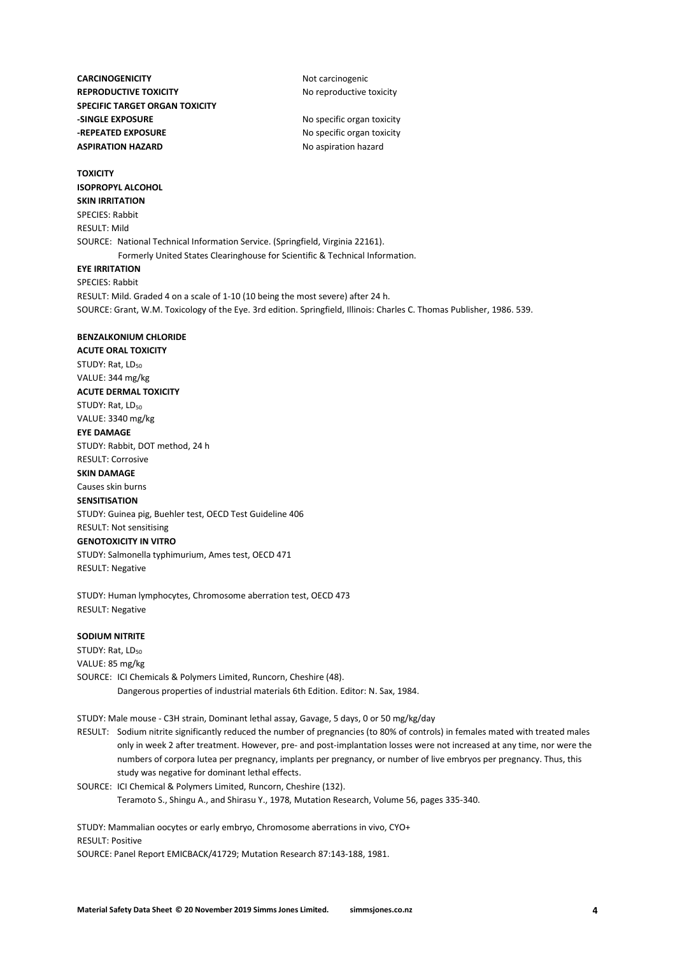**CARCINOGENICITY** Not carcinogenic **REPRODUCTIVE TOXICITY** No reproductive toxicity **SPECIFIC TARGET ORGAN TOXICITY -SINGLE EXPOSURE** No specific organ toxicity **-REPEATED EXPOSURE** No specific organ toxicity **ASPIRATION HAZARD** No aspiration hazard

**TOXICITY ISOPROPYL ALCOHOL**

**SKIN IRRITATION** SPECIES: Rabbit RESULT: Mild SOURCE: National Technical Information Service. (Springfield, Virginia 22161). Formerly United States Clearinghouse for Scientific & Technical Information.

#### **EYE IRRITATION**

SPECIES: Rabbit RESULT: Mild. Graded 4 on a scale of 1-10 (10 being the most severe) after 24 h. SOURCE: Grant, W.M. Toxicology of the Eye. 3rd edition. Springfield, Illinois: Charles C. Thomas Publisher, 1986. 539.

#### **BENZALKONIUM CHLORIDE**

**ACUTE ORAL TOXICITY** STUDY: Rat, LD<sub>50</sub> VALUE: 344 mg/kg **ACUTE DERMAL TOXICITY** STUDY: Rat, LD<sub>50</sub> VALUE: 3340 mg/kg **EYE DAMAGE** STUDY: Rabbit, DOT method, 24 h RESULT: Corrosive **SKIN DAMAGE** Causes skin burns **SENSITISATION** STUDY: Guinea pig, Buehler test, OECD Test Guideline 406 RESULT: Not sensitising **GENOTOXICITY IN VITRO** STUDY: Salmonella typhimurium, Ames test, OECD 471

RESULT: Negative

STUDY: Human lymphocytes, Chromosome aberration test, OECD 473 RESULT: Negative

#### **SODIUM NITRITE**

STUDY: Rat, LD<sub>50</sub> VALUE: 85 mg/kg SOURCE: ICI Chemicals & Polymers Limited, Runcorn, Cheshire (48). Dangerous properties of industrial materials 6th Edition. Editor: N. Sax, 1984.

STUDY: Male mouse - C3H strain, Dominant lethal assay, Gavage, 5 days, 0 or 50 mg/kg/day

RESULT: Sodium nitrite significantly reduced the number of pregnancies (to 80% of controls) in females mated with treated males only in week 2 after treatment. However, pre- and post-implantation losses were not increased at any time, nor were the numbers of corpora lutea per pregnancy, implants per pregnancy, or number of live embryos per pregnancy. Thus, this study was negative for dominant lethal effects.

SOURCE: ICI Chemical & Polymers Limited, Runcorn, Cheshire (132). Teramoto S., Shingu A., and Shirasu Y., 1978, Mutation Research, Volume 56, pages 335-340.

STUDY: Mammalian oocytes or early embryo, Chromosome aberrations in vivo, CYO+ RESULT: Positive SOURCE: Panel Report EMICBACK/41729; Mutation Research 87:143-188, 1981.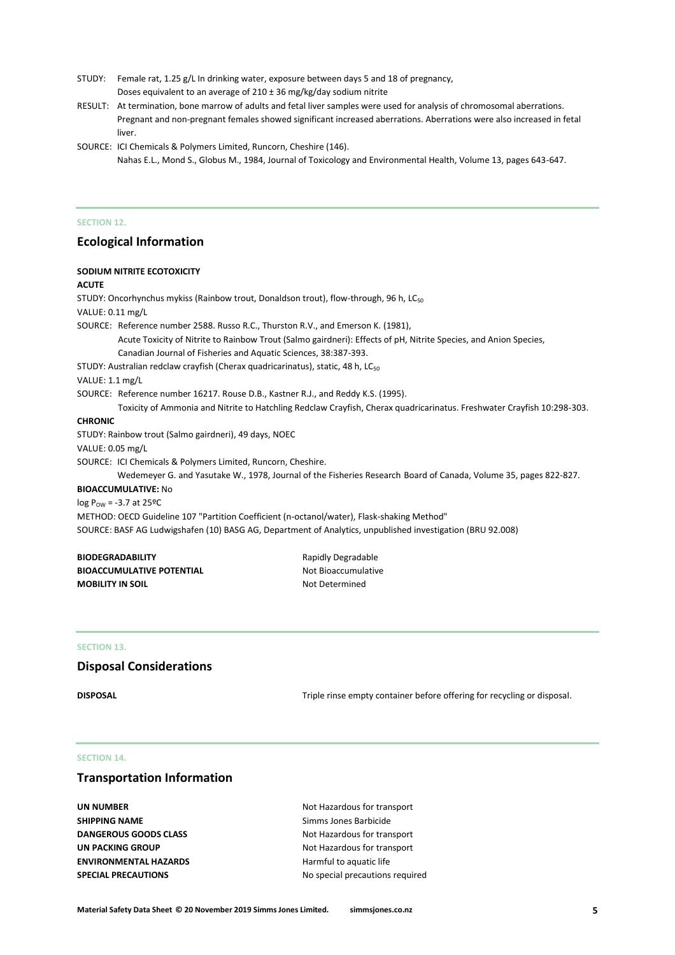- STUDY: Female rat, 1.25 g/L In drinking water, exposure between days 5 and 18 of pregnancy, Doses equivalent to an average of  $210 \pm 36$  mg/kg/day sodium nitrite
- RESULT: At termination, bone marrow of adults and fetal liver samples were used for analysis of chromosomal aberrations. Pregnant and non-pregnant females showed significant increased aberrations. Aberrations were also increased in fetal liver.
- SOURCE: ICI Chemicals & Polymers Limited, Runcorn, Cheshire (146). Nahas E.L., Mond S., Globus M., 1984, Journal of Toxicology and Environmental Health, Volume 13, pages 643-647.

#### **SECTION 12.**

#### **Ecological Information**

#### **SODIUM NITRITE ECOTOXICITY**

**ACUTE**

STUDY: Oncorhynchus mykiss (Rainbow trout, Donaldson trout), flow-through, 96 h, LC<sub>50</sub> VALUE: 0.11 mg/L SOURCE: Reference number 2588. Russo R.C., Thurston R.V., and Emerson K. (1981), Acute Toxicity of Nitrite to Rainbow Trout (Salmo gairdneri): Effects of pH, Nitrite Species, and Anion Species, Canadian Journal of Fisheries and Aquatic Sciences, 38:387-393. STUDY: Australian redclaw crayfish (Cherax quadricarinatus), static, 48 h, LC<sub>50</sub> VALUE: 1.1 mg/L SOURCE: Reference number 16217. Rouse D.B., Kastner R.J., and Reddy K.S. (1995). Toxicity of Ammonia and Nitrite to Hatchling Redclaw Crayfish, Cherax quadricarinatus. Freshwater Crayfish 10:298-303. **CHRONIC** STUDY: Rainbow trout (Salmo gairdneri), 49 days, NOEC VALUE: 0.05 mg/L SOURCE: ICI Chemicals & Polymers Limited, Runcorn, Cheshire. Wedemeyer G. and Yasutake W., 1978, Journal of the Fisheries Research Board of Canada, Volume 35, pages 822-827. **BIOACCUMULATIVE:** No  $log P_{OW} = -3.7$  at 25°C METHOD: OECD Guideline 107 "Partition Coefficient (n-octanol/water), Flask-shaking Method" SOURCE: BASF AG Ludwigshafen (10) BASG AG, Department of Analytics, unpublished investigation (BRU 92.008) **BIODEGRADABILITY** Rapidly Degradable **BIOACCUMULATIVE POTENTIAL** Not Bioaccumulative **MOBILITY IN SOIL NOTE:** Not Determined

#### **SECTION 13.**

#### **Disposal Considerations**

**DISPOSAL** DISPOSAL **Triple rinse empty container before offering for recycling or disposal.** 

#### **SECTION 14.**

#### **Transportation Information**

**UN NUMBER** Not Hazardous for transport **SHIPPING NAME** Simms Jones Barbicide **DANGEROUS GOODS CLASS** Not Hazardous for transport **UN PACKING GROUP** Not Hazardous for transport **ENVIRONMENTAL HAZARDS** Harmful to aquatic life

**SPECIAL PRECAUTIONS** No special precautions required